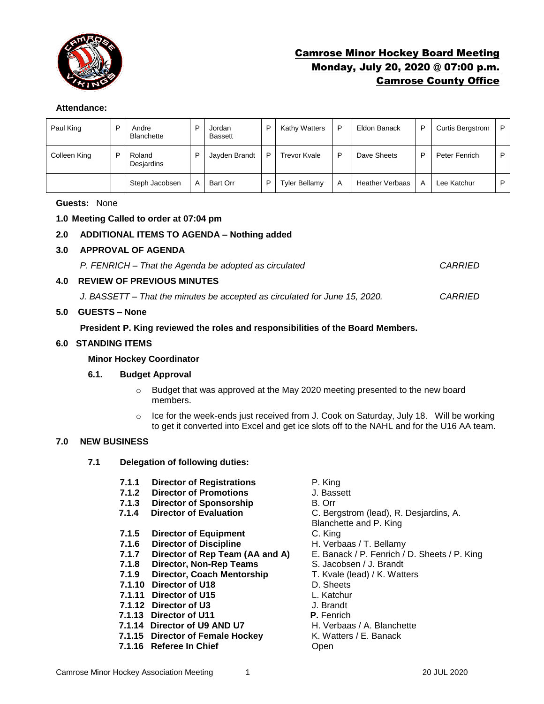

# Camrose Minor Hockey Board Meeting Monday, July 20, 2020 @ 07:00 p.m. Camrose County Office

## **Attendance:**

| Paul King    | Andre<br><b>Blanchette</b> | D | Jordan<br>Bassett | P | Kathy Watters        | P | Eldon Banack           | P | <b>Curtis Bergstrom</b> | P |
|--------------|----------------------------|---|-------------------|---|----------------------|---|------------------------|---|-------------------------|---|
| Colleen King | Roland<br>Desjardins       | D | Jayden Brandt     | P | <b>Trevor Kvale</b>  | D | Dave Sheets            | P | Peter Fenrich           | D |
|              | Steph Jacobsen             | A | Bart Orr          | D | <b>Tyler Bellamy</b> | Α | <b>Heather Verbaas</b> | A | Lee Katchur             | D |

**Guests:** None

## **1.0 Meeting Called to order at 07:04 pm**

## **2.0 ADDITIONAL ITEMS TO AGENDA – Nothing added**

**3.0 APPROVAL OF AGENDA**

*P. FENRICH – That the Agenda be adopted as circulated CARRIED*

## **4.0 REVIEW OF PREVIOUS MINUTES**

*J. BASSETT – That the minutes be accepted as circulated for June 15, 2020. CARRIED*

## **5.0 GUESTS – None**

## **President P. King reviewed the roles and responsibilities of the Board Members.**

## **6.0 STANDING ITEMS**

## **Minor Hockey Coordinator**

## **6.1. Budget Approval**

- o Budget that was approved at the May 2020 meeting presented to the new board members.
- $\circ$  Ice for the week-ends just received from J. Cook on Saturday, July 18. Will be working to get it converted into Excel and get ice slots off to the NAHL and for the U16 AA team.

## **7.0 NEW BUSINESS**

- **7.1 Delegation of following duties:**
	- **7.1.1 Director of Registrations** P. King
	- **7.1.2 Director of Promotions** J. Bassett
	- **7.1.3 Director of Sponsorship B. Orr 7.1.4 Director of Evaluation C. Ber**
	-
	- **7.1.5 Director of Equipment** C. King
	-
	- **7.1.6 Director of Discipline** H. Verbaas / T. Bellamy<br>**7.1.7 Director of Rep Team (AA and A)** E. Banack / P. Fenrich / I
	- **7.1.8 Director, Non-Rep Teams** S. Jacobsen / J. Brandt
	- **7.1.9 Director, Coach Mentorship** T. Kvale (lead) / K. Watters
	- **7.1.10 Director of U18** D. Sheets
	- **7.1.11 Director of U15** L. Katchur
	- **7.1.12 Director of U3** J. Brandt
	-
	- **7.1.14 Director of U9 AND U7** H. Verbaas / A. Blanche<br>**7.1.15 Director of Female Hockey** K. Watters / E. Banack
	- **7.1.15 Director of Female Hockey**
	- **7.1.16 Referee In Chief Chief Change Compare 10**
- 
- 
- 
- **7.1.4 Director of Evaluation** C. Bergstrom (lead), R. Desjardins, A.
- Blanchette and P. King
- 
- 
- **Director of Rep Team (AA and A)** E. Banack / P. Fenrich / D. Sheets / P. King
	-
	-
	-
	-
	-
	-
- **7.1.13 Director of U11 P.** Fenrich
	-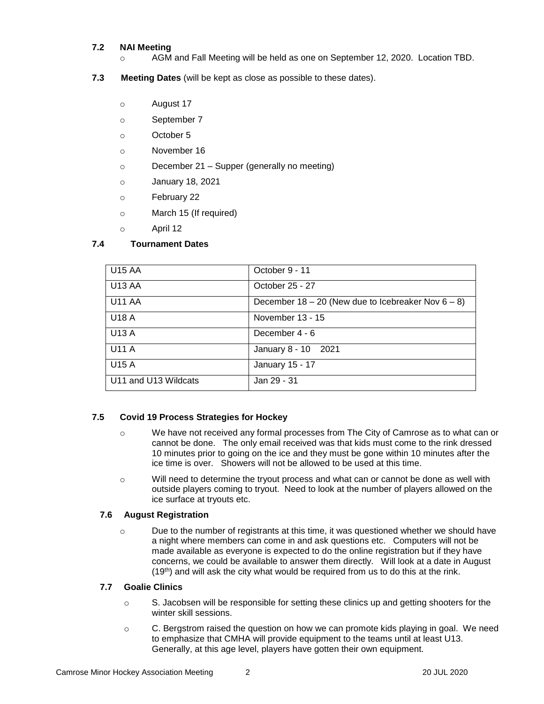## **7.2 NAI Meeting**

- o AGM and Fall Meeting will be held as one on September 12, 2020. Location TBD.
- **7.3 Meeting Dates** (will be kept as close as possible to these dates).
	- o August 17
	- o September 7
	- o October 5
	- o November 16
	- o December 21 Supper (generally no meeting)
	- o January 18, 2021
	- o February 22
	- o March 15 (If required)
	- o April 12

## **7.4 Tournament Dates**

| U <sub>15</sub> AA   | October 9 - 11                                          |
|----------------------|---------------------------------------------------------|
| U13 AA               | October 25 - 27                                         |
| U11 AA               | December $18 - 20$ (New due to Icebreaker Nov $6 - 8$ ) |
| <b>U18 A</b>         | November 13 - 15                                        |
| <b>U13 A</b>         | December 4 - 6                                          |
| <b>U11 A</b>         | January 8 - 10 2021                                     |
| <b>U15 A</b>         | January 15 - 17                                         |
| U11 and U13 Wildcats | Jan 29 - 31                                             |

## **7.5 Covid 19 Process Strategies for Hockey**

- o We have not received any formal processes from The City of Camrose as to what can or cannot be done. The only email received was that kids must come to the rink dressed 10 minutes prior to going on the ice and they must be gone within 10 minutes after the ice time is over. Showers will not be allowed to be used at this time.
- o Will need to determine the tryout process and what can or cannot be done as well with outside players coming to tryout. Need to look at the number of players allowed on the ice surface at tryouts etc.

## **7.6 August Registration**

o Due to the number of registrants at this time, it was questioned whether we should have a night where members can come in and ask questions etc. Computers will not be made available as everyone is expected to do the online registration but if they have concerns, we could be available to answer them directly. Will look at a date in August  $(19<sup>th</sup>)$  and will ask the city what would be required from us to do this at the rink.

## **7.7 Goalie Clinics**

- $\circ$  S. Jacobsen will be responsible for setting these clinics up and getting shooters for the winter skill sessions.
- $\circ$  C. Bergstrom raised the question on how we can promote kids playing in goal. We need to emphasize that CMHA will provide equipment to the teams until at least U13. Generally, at this age level, players have gotten their own equipment.